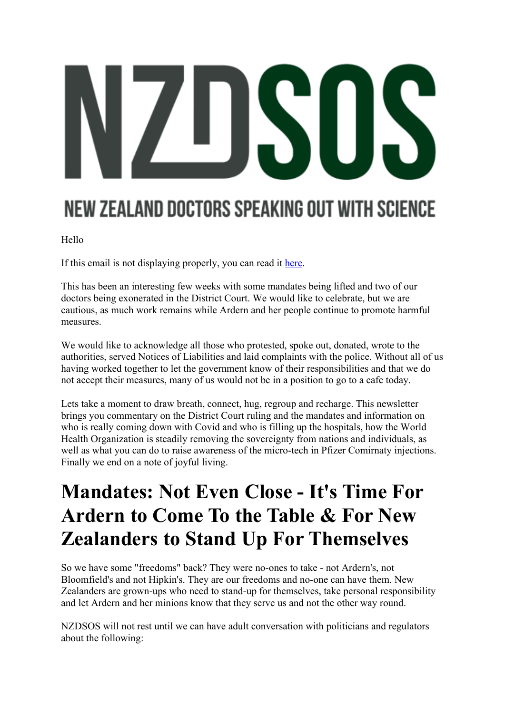# NEW ZEALAND DOCTORS SPEAKING OUT WITH SCIENCE

Hello

If this email is not displaying properly, you can read it [here.](https://nzdsos.com/category/newsletters/)

This has been an interesting few weeks with some mandates being lifted and two of our doctors being exonerated in the District Court. We would like to celebrate, but we are cautious, as much work remains while Ardern and her people continue to promote harmful measures.

We would like to acknowledge all those who protested, spoke out, donated, wrote to the authorities, served Notices of Liabilities and laid complaints with the police. Without all of us having worked together to let the government know of their responsibilities and that we do not accept their measures, many of us would not be in a position to go to a cafe today.

Lets take a moment to draw breath, connect, hug, regroup and recharge. This newsletter brings you commentary on the District Court ruling and the mandates and information on who is really coming down with Covid and who is filling up the hospitals, how the World Health Organization is steadily removing the sovereignty from nations and individuals, as well as what you can do to raise awareness of the micro-tech in Pfizer Comirnaty injections. Finally we end on a note of joyful living.

# **Mandates: Not Even Close - It's Time For Ardern to Come To the Table & For New Zealanders to Stand Up For Themselves**

So we have some "freedoms" back? They were no-ones to take - not Ardern's, not Bloomfield's and not Hipkin's. They are our freedoms and no-one can have them. New Zealanders are grown-ups who need to stand-up for themselves, take personal responsibility and let Ardern and her minions know that they serve us and not the other way round.

NZDSOS will not rest until we can have adult conversation with politicians and regulators about the following: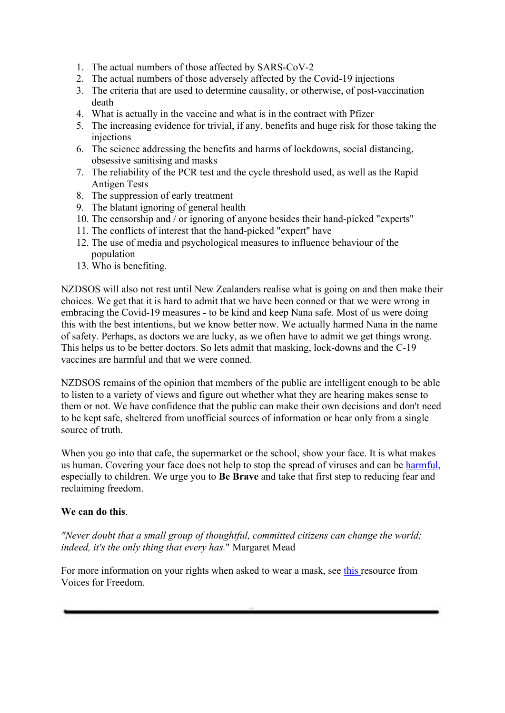- 1. The actual numbers of those affected by SARS-CoV-2
- 2. The actual numbers of those adversely affected by the Covid-19 injections
- 3. The criteria that are used to determine causality, or otherwise, of post-vaccination death
- 4. What is actually in the vaccine and what is in the contract with Pfizer
- 5. The increasing evidence for trivial, if any, benefits and huge risk for those taking the injections
- 6. The science addressing the benefits and harms of lockdowns, social distancing, obsessive sanitising and masks
- 7. The reliability of the PCR test and the cycle threshold used, as well as the Rapid Antigen Tests
- 8. The suppression of early treatment
- 9. The blatant ignoring of general health
- 10. The censorship and / or ignoring of anyone besides their hand-picked "experts"
- 11. The conflicts of interest that the hand-picked "expert'' have
- 12. The use of media and psychological measures to influence behaviour of the population
- 13. Who is benefiting.

NZDSOS will also not rest until New Zealanders realise what is going on and then make their choices. We get that it is hard to admit that we have been conned or that we were wrong in embracing the Covid-19 measures - to be kind and keep Nana safe. Most of us were doing this with the best intentions, but we know better now. We actually harmed Nana in the name of safety. Perhaps, as doctors we are lucky, as we often have to admit we get things wrong. This helps us to be better doctors. So lets admit that masking, lock-downs and the C-19 vaccines are harmful and that we were conned.

NZDSOS remains of the opinion that members of the public are intelligent enough to be able to listen to a variety of views and figure out whether what they are hearing makes sense to them or not. We have confidence that the public can make their own decisions and don't need to be kept safe, sheltered from unofficial sources of information or hear only from a single source of truth.

When you go into that cafe, the supermarket or the school, show your face. It is what makes us human. Covering your face does not help to stop the spread of viruses and can be [harmful,](https://nzdsos.com/2022/02/08/masks-dont-work-but-do-cause-harm/) especially to children. We urge you to **Be Brave** and take that first step to reducing fear and reclaiming freedom.

#### **We can do this**.

*"Never doubt that a small group of thoughtful, committed citizens can change the world; indeed, it's the only thing that every has.*" Margaret Mead

For more information on your rights when asked to wear a mask, see [this r](https://voicesforfreedom.co.nz/mask-mini-kit)esource from Voices for Freedom.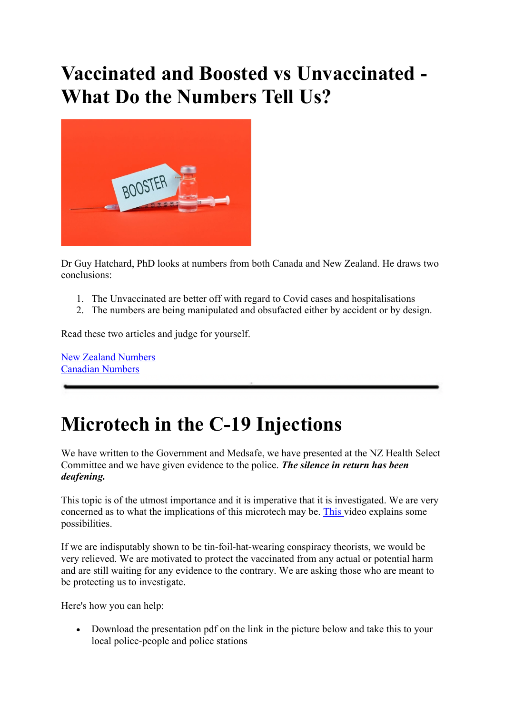# **Vaccinated and Boosted vs Unvaccinated - What Do the Numbers Tell Us?**



Dr Guy Hatchard, PhD looks at numbers from both Canada and New Zealand. He draws two conclusions:

- 1. The Unvaccinated are better off with regard to Covid cases and hospitalisations
- 2. The numbers are being manipulated and obsufacted either by accident or by design.

Read these two articles and judge for yourself.

[New Zealand Numbers](https://nzdsos.com/2022/04/04/boosted-individuals-more-vulnerable-to-covid/) [Canadian Numbers](https://nzdsos.com/2022/04/03/are-the-unvaccinated-taking-a-beating/)

#### **Microtech in the C-19 Injections**

We have written to the Government and Medsafe, we have presented at the NZ Health Select Committee and we have given evidence to the police. *The silence in return has been deafening.* 

This topic is of the utmost importance and it is imperative that it is investigated. We are very concerned as to what the implications of this microtech may be. [This v](https://nzdsos.com/2022/03/23/watch-why-is-nano-tech-in-injections/)ideo explains some possibilities.

If we are indisputably shown to be tin-foil-hat-wearing conspiracy theorists, we would be very relieved. We are motivated to protect the vaccinated from any actual or potential harm and are still waiting for any evidence to the contrary. We are asking those who are meant to be protecting us to investigate.

Here's how you can help:

• Download the presentation pdf on the link in the picture below and take this to your local police-people and police stations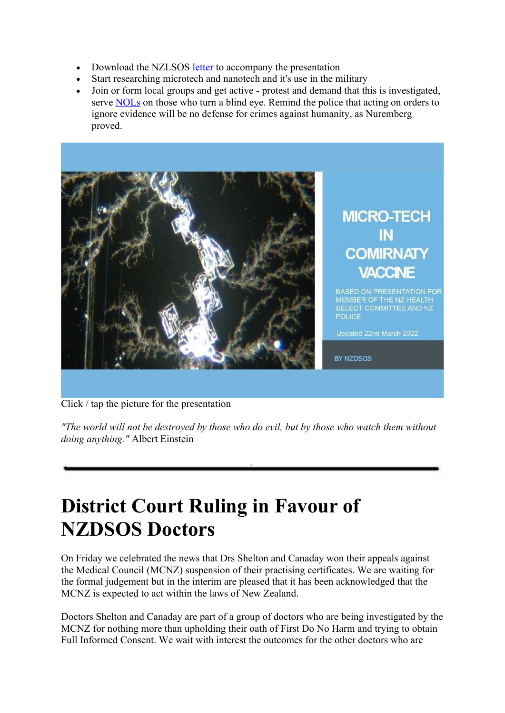- Download the NZLSOS [letter t](https://nzdsos.com/2022/03/17/nzlsos-open-letter-to-police-commissioner/)o accompany the presentation
- Start researching microtech and nanotech and it's use in the military
- Join or form local groups and get active protest and demand that this is investigated, serve [NOLs](https://nzdsos.com/2022/01/17/notice-of-liability/) on those who turn a blind eye. Remind the police that acting on orders to ignore evidence will be no defense for crimes against humanity, as Nuremberg proved.



Click / tap the picture for the presentation

*"The world will not be destroyed by those who do evil, but by those who watch them without doing anything."* Albert Einstein

### **District Court Ruling in Favour of NZDSOS Doctors**

On Friday we celebrated the news that Drs Shelton and Canaday won their appeals against the Medical Council (MCNZ) suspension of their practising certificates. We are waiting for the formal judgement but in the interim are pleased that it has been acknowledged that the MCNZ is expected to act within the laws of New Zealand.

Doctors Shelton and Canaday are part of a group of doctors who are being investigated by the MCNZ for nothing more than upholding their oath of First Do No Harm and trying to obtain Full Informed Consent. We wait with interest the outcomes for the other doctors who are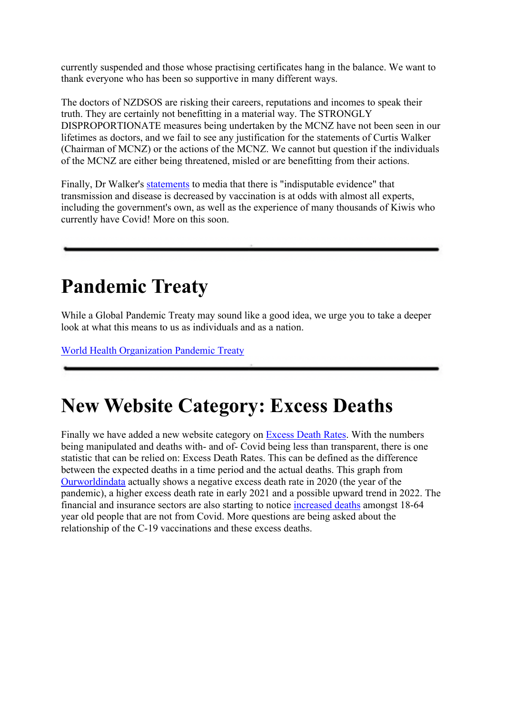currently suspended and those whose practising certificates hang in the balance. We want to thank everyone who has been so supportive in many different ways.

The doctors of NZDSOS are risking their careers, reputations and incomes to speak their truth. They are certainly not benefitting in a material way. The STRONGLY DISPROPORTIONATE measures being undertaken by the MCNZ have not been seen in our lifetimes as doctors, and we fail to see any justification for the statements of Curtis Walker (Chairman of MCNZ) or the actions of the MCNZ. We cannot but question if the individuals of the MCNZ are either being threatened, misled or are benefitting from their actions.

Finally, Dr Walker's [statements](https://www.rnz.co.nz/news/national/464442/doctors-suspended-over-anti-vax-claims-win-court-appeals) to media that there is "indisputable evidence" that transmission and disease is decreased by vaccination is at odds with almost all experts, including the government's own, as well as the experience of many thousands of Kiwis who currently have Covid! More on this soon.

## **Pandemic Treaty**

While a Global Pandemic Treaty may sound like a good idea, we urge you to take a deeper look at what this means to us as individuals and as a nation.

[World Health Organization Pandemic Treaty](https://nzdsos.com/2022/03/28/the-who-and-the-pandemic-preparedness-treaty/)

### **New Website Category: Excess Deaths**

Finally we have added a new website category on [Excess Death Rates.](https://nzdsos.com/category/resources/excess-mortality/) With the numbers being manipulated and deaths with- and of- Covid being less than transparent, there is one statistic that can be relied on: Excess Death Rates. This can be defined as the difference between the expected deaths in a time period and the actual deaths. This graph from [Ourworldindata](https://ourworldindata.org/excess-mortality-covid) actually shows a negative excess death rate in 2020 (the year of the pandemic), a higher excess death rate in early 2021 and a possible upward trend in 2022. The financial and insurance sectors are also starting to notice [increased deaths](https://www.thedesertreview.com/opinion/columnists/life-insurance-deaths-up-40---dr-robert-malone-s-chilling-analysis/article_d24bccac-6f38-11ec-912f-1f6d8fc5fac4.html) amongst 18-64 year old people that are not from Covid. More questions are being asked about the relationship of the C-19 vaccinations and these excess deaths.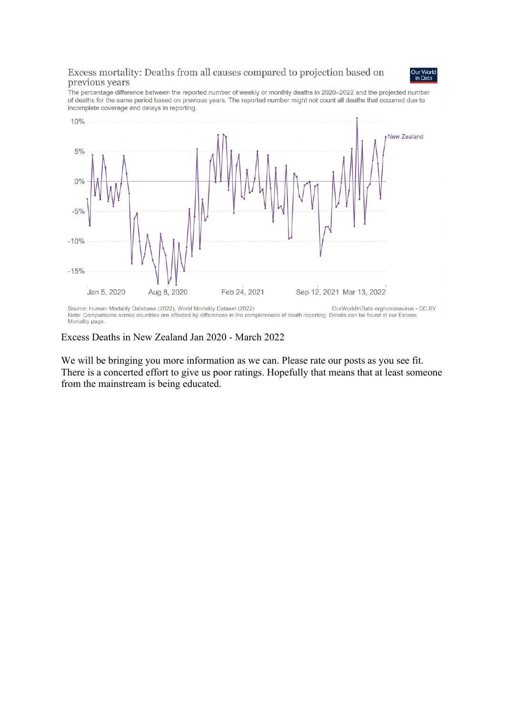#### Excess mortality: Deaths from all causes compared to projection based on previous years

The percentage difference between the reported number of weekly or monthly deaths in 2020–2022 and the projected number of deaths for the same period based on previous years. The reported number might not count all deaths that occurred due to incomplete coverage and delays in reporting.



Excess Deaths in New Zealand Jan 2020 - March 2022

We will be bringing you more information as we can. Please rate our posts as you see fit. There is a concerted effort to give us poor ratings. Hopefully that means that at least someone from the mainstream is being educated.